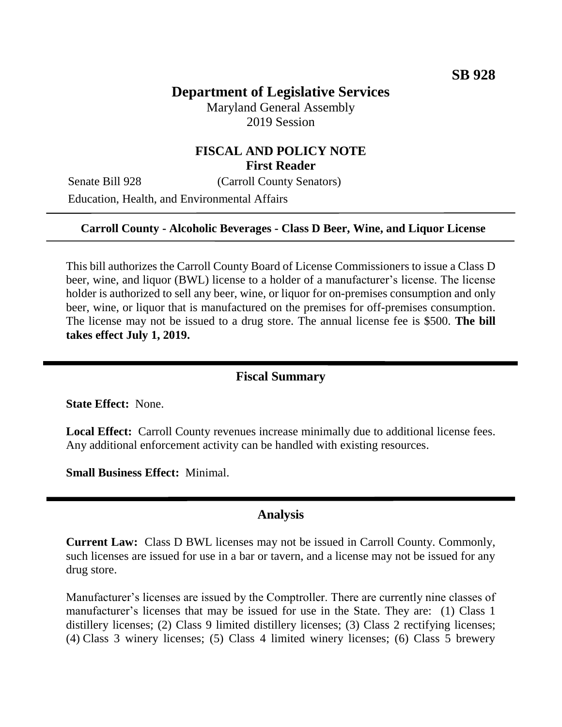# **Department of Legislative Services**

Maryland General Assembly 2019 Session

## **FISCAL AND POLICY NOTE First Reader**

Senate Bill 928 (Carroll County Senators) Education, Health, and Environmental Affairs

#### **Carroll County - Alcoholic Beverages - Class D Beer, Wine, and Liquor License**

This bill authorizes the Carroll County Board of License Commissioners to issue a Class D beer, wine, and liquor (BWL) license to a holder of a manufacturer's license. The license holder is authorized to sell any beer, wine, or liquor for on-premises consumption and only beer, wine, or liquor that is manufactured on the premises for off-premises consumption. The license may not be issued to a drug store. The annual license fee is \$500. **The bill takes effect July 1, 2019.** 

### **Fiscal Summary**

**State Effect:** None.

**Local Effect:** Carroll County revenues increase minimally due to additional license fees. Any additional enforcement activity can be handled with existing resources.

**Small Business Effect:** Minimal.

### **Analysis**

**Current Law:** Class D BWL licenses may not be issued in Carroll County. Commonly, such licenses are issued for use in a bar or tavern, and a license may not be issued for any drug store.

Manufacturer's licenses are issued by the Comptroller. There are currently nine classes of manufacturer's licenses that may be issued for use in the State. They are: (1) Class 1 distillery licenses; (2) Class 9 limited distillery licenses; (3) Class 2 rectifying licenses; (4) Class 3 winery licenses; (5) Class 4 limited winery licenses; (6) Class 5 brewery